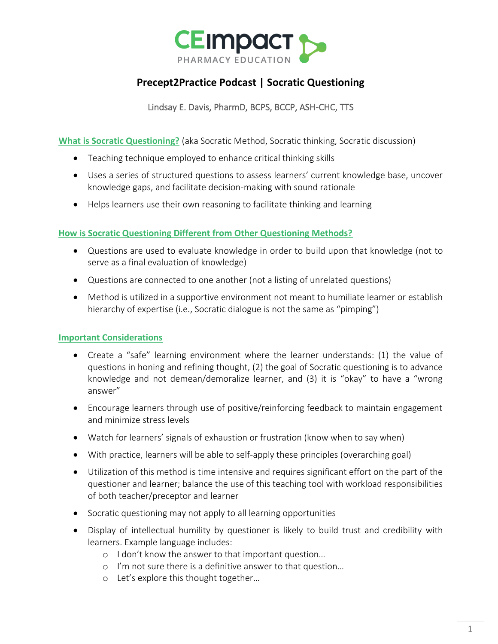

# **Precept2Practice Podcast | Socratic Questioning**

Lindsay E. Davis, PharmD, BCPS, BCCP, ASH-CHC, TTS

**What is Socratic Questioning?** (aka Socratic Method, Socratic thinking, Socratic discussion)

- Teaching technique employed to enhance critical thinking skills
- Uses a series of structured questions to assess learners' current knowledge base, uncover knowledge gaps, and facilitate decision-making with sound rationale
- Helps learners use their own reasoning to facilitate thinking and learning

## **How is Socratic Questioning Different from Other Questioning Methods?**

- Questions are used to evaluate knowledge in order to build upon that knowledge (not to serve as a final evaluation of knowledge)
- Questions are connected to one another (not a listing of unrelated questions)
- Method is utilized in a supportive environment not meant to humiliate learner or establish hierarchy of expertise (i.e., Socratic dialogue is not the same as "pimping")

# **Important Considerations**

- Create a "safe" learning environment where the learner understands: (1) the value of questions in honing and refining thought, (2) the goal of Socratic questioning is to advance knowledge and not demean/demoralize learner, and (3) it is "okay" to have a "wrong answer"
- Encourage learners through use of positive/reinforcing feedback to maintain engagement and minimize stress levels
- Watch for learners' signals of exhaustion or frustration (know when to say when)
- With practice, learners will be able to self-apply these principles (overarching goal)
- Utilization of this method is time intensive and requires significant effort on the part of the questioner and learner; balance the use of this teaching tool with workload responsibilities of both teacher/preceptor and learner
- Socratic questioning may not apply to all learning opportunities
- Display of intellectual humility by questioner is likely to build trust and credibility with learners. Example language includes:
	- o I don't know the answer to that important question…
	- o I'm not sure there is a definitive answer to that question…
	- o Let's explore this thought together…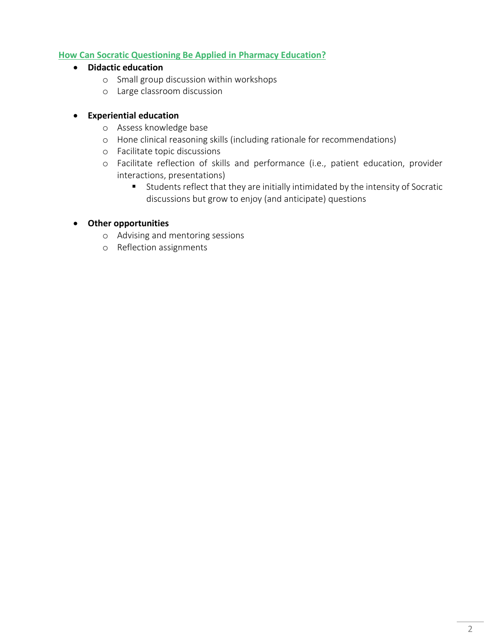# **How Can Socratic Questioning Be Applied in Pharmacy Education?**

- **Didactic education**
	- o Small group discussion within workshops
	- o Large classroom discussion

# • **Experiential education**

- o Assess knowledge base
- o Hone clinical reasoning skills (including rationale for recommendations)
- o Facilitate topic discussions
- o Facilitate reflection of skills and performance (i.e., patient education, provider interactions, presentations)
	- Students reflect that they are initially intimidated by the intensity of Socratic discussions but grow to enjoy (and anticipate) questions

# • **Other opportunities**

- o Advising and mentoring sessions
- o Reflection assignments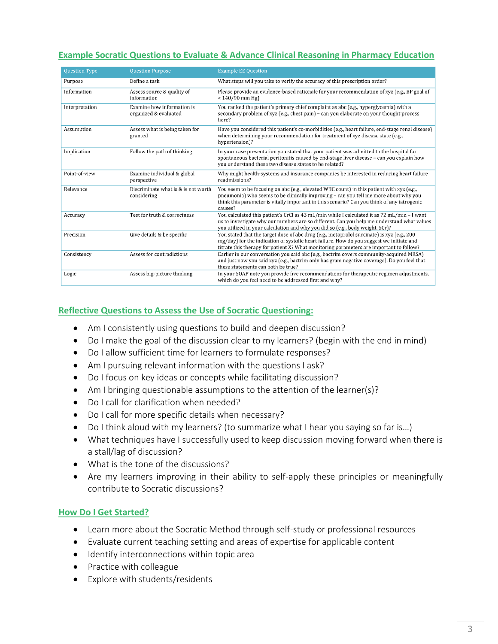# **Example Socratic Questions to Evaluate & Advance Clinical Reasoning in Pharmacy Education**

| <b>Question Type</b> | <b>Question Purpose</b>                             | <b>Example EE Question</b>                                                                                                                                                                                                                                                                  |
|----------------------|-----------------------------------------------------|---------------------------------------------------------------------------------------------------------------------------------------------------------------------------------------------------------------------------------------------------------------------------------------------|
| Purpose              | Define a task                                       | What steps will you take to verify the accuracy of this prescription order?                                                                                                                                                                                                                 |
| Information          | Assess source & quality of<br>information           | Please provide an evidence-based rationale for your recommendation of xyz (e.g., BP goal of<br>$< 140/90$ mm Hg).                                                                                                                                                                           |
| Interpretation       | Examine how information is<br>organized & evaluated | You ranked the patient's primary chief complaint as abc (e.g., hyperglycemia) with a<br>secondary problem of xyz (e.g., chest pain) – can you elaborate on your thought process<br>here?                                                                                                    |
| Assumption           | Assess what is being taken for<br>granted           | Have you considered this patient's co-morbidities (e.g., heart failure, end-stage renal disease)<br>when determining your recommendation for treatment of xyz disease state (e.g.,<br>hypertension)?                                                                                        |
| Implication          | Follow the path of thinking                         | In your case presentation you stated that your patient was admitted to the hospital for<br>spontaneous bacterial peritonitis caused by end-stage liver disease - can you explain how<br>you understand these two disease states to be related?                                              |
| Point-of-view        | Examine individual & global<br>perspective          | Why might health-systems and insurance companies be interested in reducing heart failure<br>readmissions?                                                                                                                                                                                   |
| Relevance            | Discriminate what is & is not worth<br>considering  | You seem to be focusing on abc (e.g., elevated WBC count) in this patient with xyz (e.g.,<br>pneumonia) who seems to be clinically improving - can you tell me more about why you<br>think this parameter is vitally important in this scenario? Can you think of any iatrogenic<br>causes? |
| Accuracy             | Test for truth & correctness                        | You calculated this patient's CrCl as 43 mL/min while I calculated it as 72 mL/min - I want<br>us to investigate why our numbers are so different. Can you help me understand what values<br>you utilized in your calculation and why you did so (e.g., body weight, SCr)?                  |
| Precision            | Give details & be specific                          | You stated that the target dose of abc drug (e.g., metoprolol succinate) is xyz (e.g., 200<br>mg/day] for the indication of systolic heart failure. How do you suggest we initiate and<br>titrate this therapy for patient X? What monitoring parameters are important to follow?           |
| Consistency          | Assess for contradictions                           | Earlier in our conversation you said abc (e.g., bactrim covers community-acquired MRSA)<br>and just now you said xyz (e.g., bactrim only has gram negative coverage). Do you feel that<br>these statements can both be true?                                                                |
| Logic                | Assess big-picture thinking                         | In your SOAP note you provide five recommendations for therapeutic regimen adjustments,<br>which do you feel need to be addressed first and why?                                                                                                                                            |

### **Reflective Questions to Assess the Use of Socratic Questioning:**

- Am I consistently using questions to build and deepen discussion?
- Do I make the goal of the discussion clear to my learners? (begin with the end in mind)
- Do I allow sufficient time for learners to formulate responses?
- Am I pursuing relevant information with the questions I ask?
- Do I focus on key ideas or concepts while facilitating discussion?
- Am I bringing questionable assumptions to the attention of the learner(s)?
- Do I call for clarification when needed?
- Do I call for more specific details when necessary?
- Do I think aloud with my learners? (to summarize what I hear you saying so far is…)
- What techniques have I successfully used to keep discussion moving forward when there is a stall/lag of discussion?
- What is the tone of the discussions?
- Are my learners improving in their ability to self-apply these principles or meaningfully contribute to Socratic discussions?

### **How Do I Get Started?**

- Learn more about the Socratic Method through self-study or professional resources
- Evaluate current teaching setting and areas of expertise for applicable content
- Identify interconnections within topic area
- Practice with colleague
- Explore with students/residents